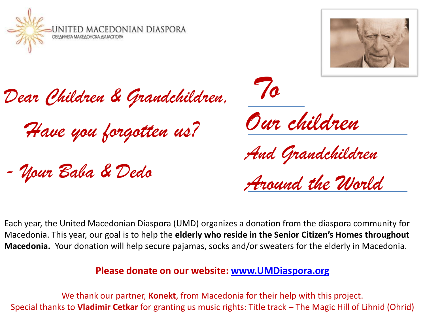



*Dear Children & Grandchildren,* 

*Have you forgotten us?* 

*- Your Baba & Dedo*

*To Our children* 

*And Grandchildren*

*Around the World*

Each year, the United Macedonian Diaspora (UMD) organizes a donation from the diaspora community for Macedonia. This year, our goal is to help the **elderly who reside in the Senior Citizen's Homes throughout Macedonia.** Your donation will help secure pajamas, socks and/or sweaters for the elderly in Macedonia.

#### **Please donate on our website: [www.UMDiaspora.org](http://www.umdiaspora.org/)**

We thank our partner, **Konekt**, from Macedonia for their help with this project. Special thanks to **Vladimir Cetkar** for granting us music rights: Title track – The Magic Hill of Lihnid (Ohrid)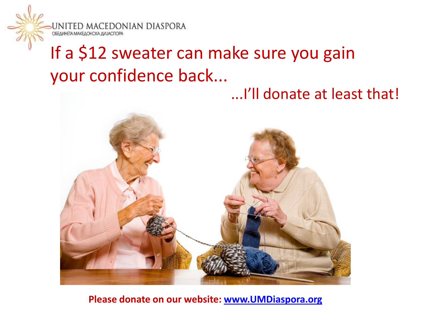

# If a \$12 sweater can make sure you gain your confidence back...

...I'll donate at least that!



#### **Please donate on our website: [www.UMDiaspora.org](http://www.umdiaspora.org/)**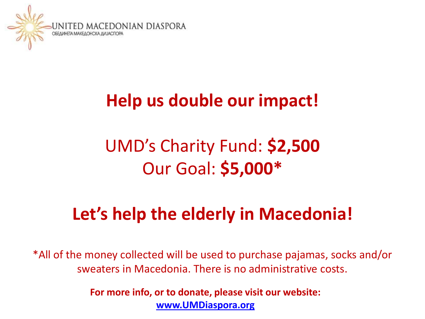

### **Help us double our impact!**

# UMD's Charity Fund: **\$2,500**  Our Goal: **\$5,000\***

### **Let's help the elderly in Macedonia!**

\*All of the money collected will be used to purchase pajamas, socks and/or sweaters in Macedonia. There is no administrative costs.

> **For more info, or to donate, please visit our website: [www.UMDiaspora.org](http://www.umdiaspora.org/)**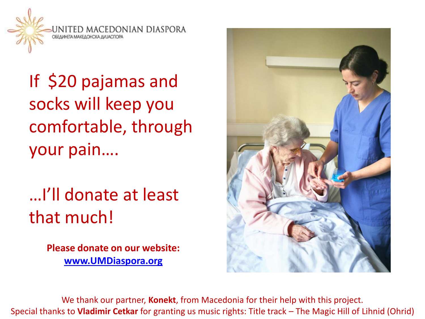

If \$20 pajamas and socks will keep you comfortable, through your pain….

…I'll donate at least that much!

> **Please donate on our website: [www.UMDiaspora.org](http://www.umdiaspora.org/)**



We thank our partner, **Konekt**, from Macedonia for their help with this project. Special thanks to **Vladimir Cetkar** for granting us music rights: Title track – The Magic Hill of Lihnid (Ohrid)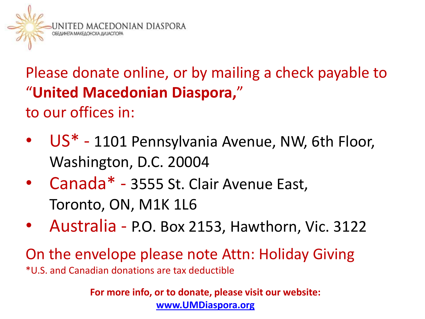

Please donate online, or by mailing a check payable to "**United Macedonian Diaspora,**" to our offices in:

- US<sup>\*</sup> 1101 Pennsylvania Avenue, NW, 6th Floor, Washington, D.C. 20004
- Canada\* 3555 St. Clair Avenue East, Toronto, ON, M1K 1L6
- Australia P.O. Box 2153, Hawthorn, Vic. 3122

On the envelope please note Attn: Holiday Giving \*U.S. and Canadian donations are tax deductible

> **For more info, or to donate, please visit our website: [www.UMDiaspora.org](http://www.umdiaspora.org/)**